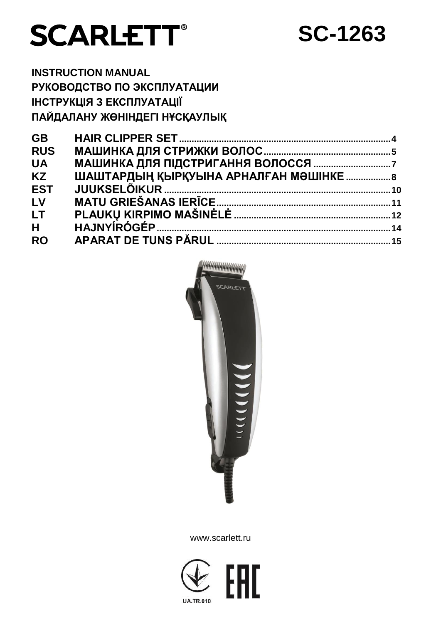

 **SC-1263**

**INSTRUCTION MANUAL РУКОВОДСТВО ПО ЭКСПЛУАТАЦИИ ІНСТРУКЦІЯ З ЕКСПЛУАТАЦІЇ ПАЙДАЛАНУ ЖӨНІНДЕГІ НҰСҚАУЛЫҚ**

| <b>GB</b>      |                                     |  |
|----------------|-------------------------------------|--|
| <b>RUS</b>     |                                     |  |
| <b>UA</b>      |                                     |  |
| <b>KZ</b>      | ШАШТАРДЫҢ ҚЫРҚУЫНА АРНАЛҒАН МӘШІНКЕ |  |
| <b>EST</b>     |                                     |  |
| LV             |                                     |  |
| LT.            |                                     |  |
| H <sub>a</sub> |                                     |  |
| <b>RO</b>      |                                     |  |



www.scarlett.ru

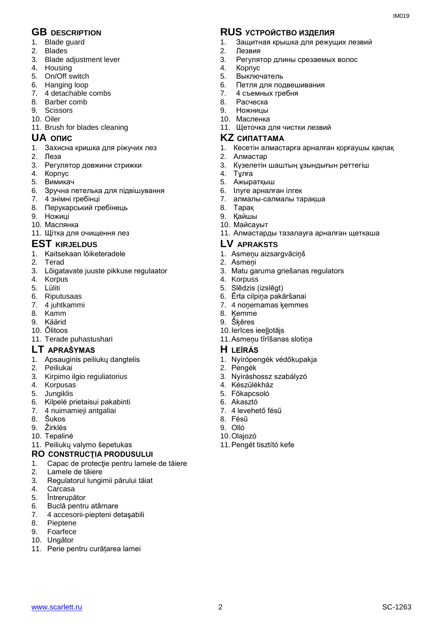- 1. Blade guard
- 2. Blades
- 3. Blade adjustment lever
- 4. Housing
- 5. On/Off switch
- 6. Hanging loop
- 7. 4 detachable combs
- 8. Barber comb
- 9. Scissors
- 10. Oiler
- 11. Brush for blades cleaning

- 1. Захисна кришка для ріжучих лез
- 2. Леза
- 3. Регулятор довжини стрижки
- 4. Корпус
- 5. Вимикач
- 6. Зручна петелька для підвішування
- 7. 4 знімні гребінці
- 8. Перукарський гребінець
- 9. Ножиці
- 10. Маслянка
- 11. Щітка для очищення лез

# **EST KIRJELDUS LV APRAKSTS**

- 1. Kaitsekaan lõiketeradele
- 2. Terad
- 3. Lõigatavate juuste pikkuse regulaator
- 4. Korpus
- 5. Lüliti
- 6. Riputusaas
- 7. 4 juhtkammi
- 8. Kamm
- 9. Käärid
- 10. Õlitoos
- 11. Terade puhastushari

# **LT APRAŠYMAS H LEÍRÁS**

- 1. Apsauginis peiliukų dangtelis
- 2. Peiliukai
- 3. Kirpimo ilgio reguliatorius
- 4. Korpusas
- 5. Jungiklis
- 6. Kilpelė prietaisui pakabinti
- 7. 4 nuimamieji antgaliai
- 8. Šukos
- 9. Žirklės
- 10. Tepalinė
- 11. Peiliukų valymo šepetukas

# **RO CONSTRUCŢIA PRODUSULUI**

- 1. Capac de protecție pentru lamele de tăiere
- 2. Lamele de tăiere
- 3. Regulatorul lungimii părului tăiat
- 4. Carcasa
- 5. Întrerupător
- 6. Buclă pentru atârnare
- 7. 4 accesorii-piepteni detaşabili
- 8. Pieptene
- 9. Foarfece
- 10. Ungător
- 11. Perie pentru curățarea lamei

# **GB DESCRIPTION RUS УСТРОЙСТВО ИЗДЕЛИЯ**

- 1. Защитная крышка для режущих лезвий
- 2. Лезвия
- 3. Регулятор длины срезаемых волос
- 4. Корпус
- 5. Выключатель
- 6. Петля для подвешивания
- 7. 4 съемных гребня
- 8. Расческа
- 9. Ножницы
- 10. Масленка
- 11. Щеточка для чистки лезвий

# **UA ОПИС KZ СИПАТТАМА**

- 1. Кесетін алмастарға арналған қорғаушы қақпақ
- 2. Алмастар
- 3. Күзелетін шаштың ұзындығын реттегіш
- 4. Тұлға
- 5. Ажыратқыш
- 6. Ілуге арналған ілгек
- 7. алмалы-салмалы тарақша
- 8. Тарақ
- 9. Қайшы
- 10. Майсауыт
- 11. Алмастарды тазалауға арналған щеткаша

- 1. Asmeņu aizsargvāciņš
- 2. Asmeņi
- 3. Matu garuma griešanas regulators
- 4. Korpuss
- 5. Slēdzis (izslēgt)
- 6. Ērta cilpiņa pakāršanai
- 7. 4 noņemamas ķemmes
- 8. Ķemme
- 9. Šķēres
- 10.Ierīces ieeļļotājs
- 11.Asmeņu tīrīšanas slotiņa

- 1. Nyírópengék védőkupakja
- 2. Pengék 3. Nyíráshossz szabályzó

8. Fésű 9. Olló 10.Olajozó

4. Készülékház 5. Főkapcsoló 6. Akasztó 7. 4 levehető fésű

11.Pengét tisztító kefe

www.scarlett.ru SC-1263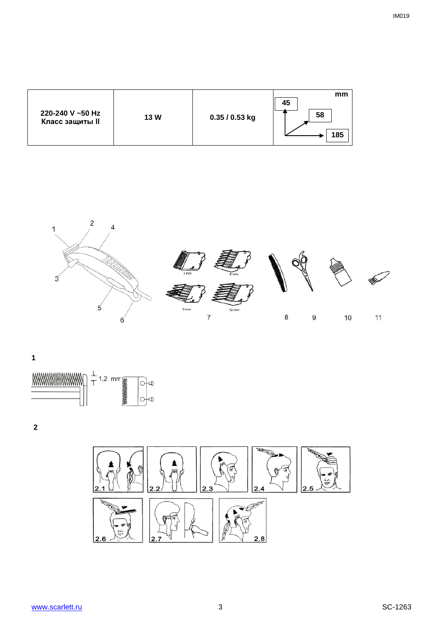| 220-240 V ~50 Hz<br>13 W<br>Класс защиты II | $0.35/0.53$ kg | mm<br>45<br>58<br>185 |
|---------------------------------------------|----------------|-----------------------|
|---------------------------------------------|----------------|-----------------------|







**2**



 $11$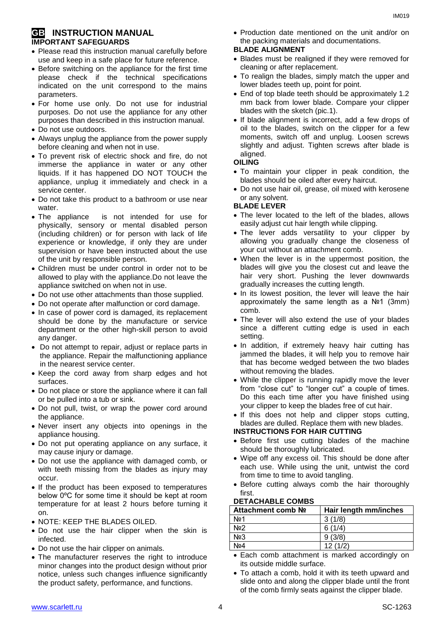# **GB INSTRUCTION MANUAL IMPORTANT SAFEGUARDS**

- Please read this instruction manual carefully before use and keep in a safe place for future reference.
- Before switching on the appliance for the first time please check if the technical specifications indicated on the unit correspond to the mains parameters.
- For home use only. Do not use for industrial purposes. Do not use the appliance for any other purposes than described in this instruction manual.
- Do not use outdoors.
- Always unplug the appliance from the power supply before cleaning and when not in use.
- To prevent risk of electric shock and fire, do not immerse the appliance in water or any other liquids. If it has happened DO NOT TOUCH the appliance, unplug it immediately and check in a service center.
- Do not take this product to a bathroom or use near water.
- The appliance is not intended for use for [physically, sensory or mental disabled](https://www.multitran.ru/c/m.exe?t=5841801_1_2&s1=%F7%E5%EB%EE%E2%E5%EA%20%F1%20%EE%E3%F0%E0%ED%E8%F7%E5%ED%ED%FB%EC%E8%20%E2%EE%E7%EC%EE%E6%ED%EE%F1%F2%FF%EC%E8) person (including children) or for person with lack of life experience or knowledge, if only they are under supervision or have been instructed about the use of the unit by responsible person.
- Children must be under control in order not to be allowed to play with the appliance.Do not leave the appliance switched on when not in use.
- Do not use other attachments than those supplied.
- Do not operate after malfunction or cord damage.
- In case of power cord is damaged, its replacement should be done by the manufacture or service department or the other high-skill person to avoid any danger.
- Do not attempt to repair, adjust or replace parts in the appliance. Repair the malfunctioning appliance in the nearest service center.
- Keep the cord away from sharp edges and hot surfaces.
- Do not place or store the appliance where it can fall or be pulled into a tub or sink.
- Do not pull, twist, or wrap the power cord around the appliance.
- Never insert any objects into openings in the appliance housing.
- Do not put operating appliance on any surface, it may cause injury or damage.
- Do not use the appliance with damaged comb, or with teeth missing from the blades as injury may occur.
- If the product has been exposed to temperatures below 0ºC for some time it should be kept at room temperature for at least 2 hours before turning it on.
- NOTE: KEEP THE BLADES OILED.
- Do not use the hair clipper when the skin is infected.
- Do not use the hair clipper on animals.
- The manufacturer reserves the right to introduce minor changes into the product design without prior notice, unless such changes influence significantly the product safety, performance, and functions.

 Production date mentioned on the unit and/or on the packing materials and documentations.

#### **BLADE ALIGNMENT**

- Blades must be realigned if they were removed for cleaning or after replacement.
- To realign the blades, simply match the upper and lower blades teeth up, point for point.
- End of top blade teeth should be approximately 1.2 mm back from lower blade. Compare your clipper blades with the sketch (pic.1).
- If blade alignment is incorrect, add a few drops of oil to the blades, switch on the clipper for a few moments, switch off and unplug. Loosen screws slightly and adjust. Tighten screws after blade is aligned.

### **OILING**

- To maintain your clipper in peak condition, the blades should be oiled after every haircut.
- Do not use hair oil, grease, oil mixed with kerosene or any solvent.

#### **BLADE LEVER**

- The lever located to the left of the blades, allows easily adjust cut hair length while clipping.
- The lever adds versatility to your clipper by allowing you gradually change the closeness of your cut without an attachment comb.
- When the lever is in the uppermost position, the blades will give you the closest cut and leave the hair very short. Pushing the lever downwards gradually increases the cutting length.
- In its lowest position, the lever will leave the hair approximately the same length as a №1 (3mm) comb.
- The lever will also extend the use of your blades since a different cutting edge is used in each setting.
- In addition, if extremely heavy hair cutting has jammed the blades, it will help you to remove hair that has become wedged between the two blades without removing the blades.
- While the clipper is running rapidly move the lever from "close cut" to "longer cut" a couple of times. Do this each time after you have finished using your clipper to keep the blades free of cut hair.
- If this does not help and clipper stops cutting, blades are dulled. Replace them with new blades.

# **INSTRUCTIONS FOR HAIR CUTTING**

- Before first use cutting blades of the machine should be thoroughly lubricated.
- Wipe off any excess oil. This should be done after each use. While using the unit, untwist the cord from time to time to avoid tangling.
- Before cutting always comb the hair thoroughly first.

#### **DETACHABLE COMBS**

| Attachment comb Nº | Hair length mm/inches |
|--------------------|-----------------------|
| Nº1                | 3(1/8)                |
| No <sub>2</sub>    | (1/4)<br>ี            |
| N <sub>23</sub>    | 9(3/8)                |
| No4                | 12(1/2)               |

- Each comb attachment is marked accordingly on its outside middle surface.
- To attach a comb, hold it with its teeth upward and slide onto and along the clipper blade until the front of the comb firmly seats against the clipper blade.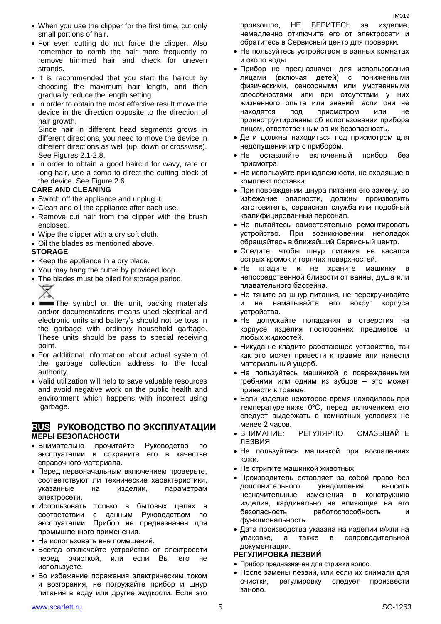- For even cutting do not force the clipper. Also remember to comb the hair more frequently to remove trimmed hair and check for uneven strands.
- It is recommended that you start the haircut by choosing the maximum hair length, and then gradually reduce the length setting.
- In order to obtain the most effective result move the device in the direction opposite to the direction of hair growth.

Since hair in different head segments grows in different directions, you need to move the device in different directions as well (up, down or crosswise). See Figures 2.1-2.8.

• In order to obtain a good haircut for wavy, rare or long hair, use a comb to direct the cutting block of the device. See Figure 2.6.

# **CARE AND CLEANING**

- Switch off the appliance and unplug it.
- Clean and oil the appliance after each use.
- Remove cut hair from the clipper with the brush enclosed.
- Wipe the clipper with a dry soft cloth.
- Oil the blades as mentioned above.

# **STORAGE**

- Keep the appliance in a dry place.
- You may hang the cutter by provided loop.
- The blades must be oiled for storage period.



- **The symbol on the unit, packing materials** and/or documentations means used electrical and electronic units and battery's should not be toss in the garbage with ordinary household garbage. These units should be pass to special receiving point.
- For additional information about actual system of the garbage collection address to the local authority.
- Valid utilization will help to save valuable resources and avoid negative work on the public health and environment which happens with incorrect using garbage.

# **RUS РУКОВОДСТВО ПО ЭКСПЛУАТАЦИИ МЕРЫ БЕЗОПАСНОСТИ**

- Внимательно прочитайте Руководство по эксплуатации и сохраните его в качестве справочного материала.
- Перед первоначальным включением проверьте, соответствуют ли технические характеристики, указанные на изделии, параметрам электросети.
- Использовать только в бытовых целях в соответствии с данным Руководством по эксплуатации. Прибор не предназначен для промышленного применения.
- Не использовать вне помещений.
- Всегда отключайте устройство от электросети перед очисткой, или если Вы его не используете.
- Во избежание поражения электрическим током и возгорания, не погружайте прибор и шнур питания в воду или другие жидкости. Если это

произошло, НЕ БЕРИТЕСЬ за изделие, немедленно отключите его от электросети и обратитесь в Сервисный центр для проверки.

- Не пользуйтесь устройством в ванных комнатах и около воды.
- Прибор не предназначен для использования лицами (включая детей) с пониженными физическими, сенсорными или умственными способностями или при отсутствии у них жизненного опыта или знаний, если они не находятся под присмотром или не проинструктированы об использовании прибора лицом, ответственным за их безопасность.
- Дети должны находиться под присмотром для недопущения игр с прибором.
- Не оставляйте включенный прибор без присмотра.
- Не используйте принадлежности, не входящие в комплект поставки.
- При повреждении шнура питания его замену, во избежание опасности, должны производить изготовитель, сервисная служба или подобный квалифицированный персонал.
- Не пытайтесь самостоятельно ремонтировать устройство. При возникновении неполадок обращайтесь в ближайший Сервисный центр.
- Следите, чтобы шнур питания не касался острых кромок и горячих поверхностей.
- Не кладите и не храните машинку в непосредственной близости от ванны, душа или плавательного бассейна.
- Не тяните за шнур питания, не перекручивайте и не наматывайте его вокруг корпуса устройства.
- Не допускайте попадания в отверстия на корпусе изделия посторонних предметов и любых жидкостей.
- Никуда не кладите работающее устройство, так как это может привести к травме или нанести материальный ущерб.
- Не пользуйтесь машинкой с поврежденными гребнями или одним из зубцов – это может привести к травме.
- Если изделие некоторое время находилось при температуре ниже 0ºC, перед включением его следует выдержать в комнатных условиях не менее 2 часов.
- ВНИМАНИЕ: РЕГУЛЯРНО СМАЗЫВАЙТЕ ЛЕЗВИЯ.
- Не пользуйтесь машинкой при воспалениях кожи.
- Не стригите машинкой животных.
- Производитель оставляет за собой право без дополнительного уведомления вносить незначительные изменения в конструкцию изделия, кардинально не влияющие на его безопасность, работоспособность и функциональность.
- Дата производства указана на изделии и/или на упаковке, а также в сопроводительной документации.

# **РЕГУЛИРОВКА ЛЕЗВИЙ**

- Прибор предназначен для стрижки волос.
- После замены лезвий, или если их снимали для очистки, регулировку следует произвести заново.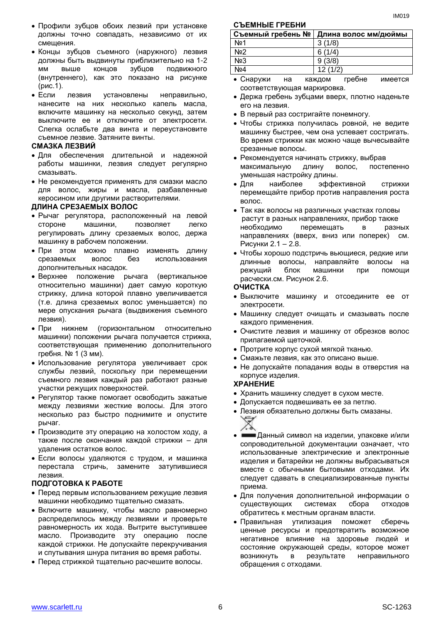- Профили зубцов обоих лезвий при установке должны точно совпадать, независимо от их смещения.
- Концы зубцов съемного (наружного) лезвия должны быть выдвинуты приблизительно на 1-2 мм выше концов зубцов подвижного (внутреннего), как это показано на рисунке (рис.1).
- Если лезвия установлены неправильно, нанесите на них несколько капель масла, включите машинку на несколько секунд, затем выключите ее и отключите от электросети. Слегка ослабьте два винта и переустановите съемное лезвие. Затяните винты.

#### **СМАЗКА ЛЕЗВИЙ**

- Для обеспечения длительной и надежной работы машинки, лезвия следует регулярно смазывать.
- Не рекомендуется применять для смазки масло для волос, жиры и масла, разбавленные керосином или другими растворителями.

#### **ДЛИНА СРЕЗАЕМЫХ ВОЛОС**

- Рычаг регулятора, расположенный на левой стороне машинки, позволяет легко регулировать длину срезаемых волос, держа машинку в рабочем положении.
- При этом можно плавно изменять длину срезаемых волос без использования дополнительных насадок.
- Верхнее положение рычага (вертикальное относительно машинки) дает самую короткую стрижку, длина которой плавно увеличивается (т.е. длина срезаемых волос уменьшается) по мере опускания рычага (выдвижения съемного лезвия).
- При нижнем (горизонтальном относительно машинки) положении рычага получается стрижка, соответствующая применению дополнительного гребня. № 1 (3 мм).
- Использование регулятора увеличивает срок службы лезвий, поскольку при перемещении съемного лезвия каждый раз работают разные участки режущих поверхностей.
- Регулятор также помогает освободить зажатые между лезвиями жесткие волосы. Для этого несколько раз быстро поднимите и опустите рычаг.
- Производите эту операцию на холостом ходу, а также после окончания каждой стрижки – для удаления остатков волос.
- Если волосы удаляются с трудом, и машинка перестала стричь, замените затупившиеся лезвия.

#### **ПОДГОТОВКА К РАБОТЕ**

- Перед первым использованием режущие лезвия машинки необходимо тщательно смазать.
- Включите машинку, чтобы масло равномерно распределилось между лезвиями и проверьте равномерность их хода. Вытрите выступившее масло. Производите эту операцию после каждой стрижки. Не допускайте перекручивания и спутывания шнура питания во время работы.
- Перед стрижкой тщательно расчешите волосы.

**СЪЕМНЫЕ ГРЕБНИ**

| Съемный гребень № Длина волос мм/дюймы |
|----------------------------------------|

| <b>SPANDIN I NACHO IST</b> | <b>длина волос мм/дюимы</b> |
|----------------------------|-----------------------------|
| No <sub>1</sub>            | 3(1/8)                      |
| Nº <sub>2</sub>            | 6(1/4)                      |
| No <sub>3</sub>            | 9(3/8)                      |
| Nº4                        | 12(1/2)                     |

- Снаружи на каждом гребне имеется соответствующая маркировка.
- Держа гребень зубцами вверх, плотно наденьте его на лезвия.
- В первый раз состригайте понемногу.
- Чтобы стрижка получилась ровной, не ведите машинку быстрее, чем она успевает состригать. Во время стрижки как можно чаще вычесывайте срезанные волосы.
- Рекомендуется начинать стрижку, выбрав максимальную длину волос, постепенно уменьшая настройку длины.
- Для наиболее эффективной стрижки перемещайте прибор против направления роста волос.
- Так как волосы на различных участках головы растут в разных направлениях, прибор также необходимо перемещать в разных направлениях (вверх, вниз или поперек) см. Рисунки 2.1 – 2.8.
- Чтобы хорошо подстричь вьющиеся, редкие или длинные волосы, направляйте волосы на режущий блок машинки при помощи расчески.см. Рисунок 2.6.

#### **ОЧИСТКА**

- Выключите машинку и отсоедините ее от электросети.
- Машинку следует очищать и смазывать после каждого применения.
- Очистите лезвия и машинку от обрезков волос прилагаемой щеточкой.
- Протрите корпус сухой мягкой тканью.
- Смажьте лезвия, как это описано выше.
- Не допускайте попадания воды в отверстия на корпусе изделия.

#### **ХРАНЕНИЕ**

- Хранить машинку следует в сухом месте.
- Допускается подвешивать ее за петлю.
- Лезвия обязательно должны быть смазаны.
- Данный символ на изделии, упаковке и/или сопроводительной документации означает, что использованные электрические и электронные изделия и батарейки не должны выбрасываться вместе с обычными бытовыми отходами. Их следует сдавать в специализированные пункты приема.
- Для получения дополнительной информации о существующих системах сбора отходов обратитесь к местным органам власти.
- Правильная утилизация поможет сберечь ценные ресурсы и предотвратить возможное негативное влияние на здоровье людей и состояние окружающей среды, которое может возникнуть в результате неправильного обращения с отходами.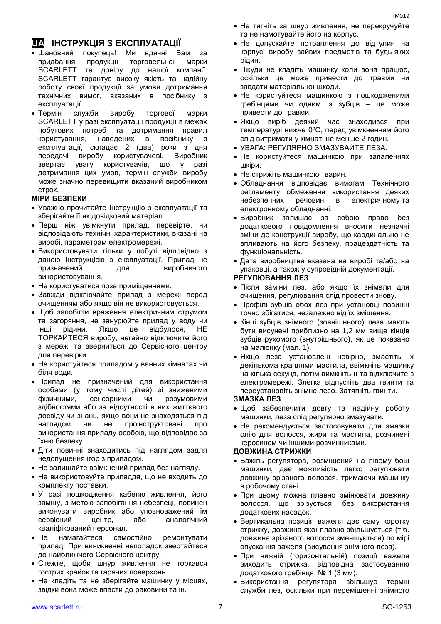# **UA ІНСТРУКЦІЯ З ЕКСПЛУАТАЦІЇ**

- Шановний покупець! Ми вдячні Вам за придбання продукції торговельної марки SCARLETT та довіру до нашої компанії. SCARLETT гарантує високу якість та надійну роботу своєї продукції за умови дотримання технічних вимог, вказаних в посібнику з експлуатації.
- Термін служби виробу торгової марки SCARLETT у разі експлуатації продукції в межах побутових потреб та дотримання правил користування, наведених в посібнику з експлуатації, складає 2 (два) роки з дня передачі виробу користувачеві. Виробник звертає увагу користувачів, що у разі дотримання цих умов, термін служби виробу може значно перевищити вказаний виробником строк.

#### **МІРИ БЕЗПЕКИ**

- Уважно прочитайте Інструкцію з експлуатації та зберігайте її як довідковий матеріал.
- Перш ніж увімкнути прилад, перевірте, чи відповідають технічні характеристики, вказані на виробі, параметрам електромережі.
- Використовувати тільки у побуті відповідно з даною Інструкцією з експлуатації. Прилад не призначений для виробничого використовування.
- Не користуватися поза приміщеннями.
- Завжди відключайте прилад з мережі перед очищенням або якщо він не використовується.
- Щоб запобігти враження електричним струмом та загоряння, не занурюйте прилад у воду чи інші рідини. Якщо це відбулося, НЕ ТОРКАЙТЕСЯ виробу, негайно відключите його з мережі та зверниться до Сервісного центру для перевірки.
- Не користуйтеся приладом у ванних кімнатах чи біля води.
- Прилад не призначений для використання особами (у тому числі дітей) зі зниженими фізичними, сенсорними чи розумовими здібностями або за відсутності в них життєвого досвіду чи знань, якщо вони не знаходяться під наглядом чи не проінструктовані про використання приладу особою, що відповідає за їхню безпеку.
- Діти повинні знаходитись під наглядом задля недопущення ігор з приладом.
- Не залишайте ввімкнений прилад без нагляду.
- Не використовуйте приладдя, що не входить до комплекту поставки.
- У разі пошкодження кабелю живлення, його заміну, з метою запобігання небезпеці, повинен виконувати виробник або уповноважений їм сервісний центр, або аналогічний кваліфікований персонал.
- Не намагайтеся самостійно ремонтувати прилад. При виникненні неполадок звертайтеся до найближчого Сервісного центру.
- Стежте, щоби шнур живлення не торкався гострих крайок та гарячих поверхонь.
- Не кладіть та не зберігайте машинку у місцях, звідки вона може впасти до раковини та ін.
- Не тягніть за шнур живлення, не перекручуйте та не намотувайте його на корпус.
- Не допускайте потраплення до відтулин на корпусі виробу зайвих предметів та будь-яких рідин.
- Нікуди не кладіть машинку коли вона працює, оскільки це може привести до травми чи завдати матеріальної шкоди.
- Не користуйтеся машинкою з пошкодженими гребінцями чи одним із зубців – це може привести до травми.
- Якщо виріб деякий час знаходився при температурі нижче 0ºC, перед увімкненням його слід витримати у кімнаті не менше 2 годин.
- УВАГА: РЕГУЛЯРНО ЗМАЗУВАЙТЕ ЛЕЗА.
- Не користуйтеся машинкою при запаленнях шкіри.
- Не стрижіть машинкою тварин.
- Обладнання відповідає вимогам Технічного регламенту обмеження використання деяких<br>небезпечних речовин в електричномута небезпечних речовин в електричному та електронному обладнанні.
- Виробник залишає за собою право без додаткового повідомлення вносити незначні зміни до конструкції виробу, що кардинально не впливають на його безпеку, працездатність та функціональність.
- Дата виробництва вказана на виробі та/або на упаковці, а також у супровідній документації.

#### **РЕГУЛЮВАННЯ ЛЕЗ**

- Після заміни лез, або якщо їх знімали для очищення, регулювання слід провести знову.
- Профілі зубців обох лез при установці повинні точно збігатися, незалежно від їх зміщення.
- Кінці зубців знімного (зовнішнього) леза мають бути висунені приблизно на 1,2 мм вище кінців зубців рухомого (внутрішнього), як це показано на малюнку (мал. 1).
- Якщо леза установлені невірно, змастіть їх декількома краплями мастила, ввімкніть машинку на кілька секунд, потім вимкніть її та відключите з електромережі. Злегка відпустіть два гвинти та переустановіть знімне лезо. Затягніть гвинти.

#### **ЗМАЗКА ЛЕЗ**

- Щоб забезпечити довгу та надійну роботу машинки, леза слід регулярно змазувати.
- Не рекомендується застосовувати для змазки олію для волосся, жири та мастила, розчинені керосином чи іншими розчинниками.

### **ДОВЖИНА СТРИЖКИ**

- Важіль регулятора, розміщений на лівому боці машинки, дає можливість легко регулювати довжину зрізаного волосся, тримаючи машинку в робочому стані.
- При цьому можна плавно змінювати довжину волосся, що зрізується, без використання додаткових насадок.
- Вертикальна позиція важеля дає саму коротку стрижку, довжина якої плавно збільшується (т.б. довжина зрізаного волосся зменшується) по мірі опускання важеля (висування знімного леза).
- При нижній (горизонтальній) позиції важеля виходить стрижка, відповідна застосуванню додаткового гребінця. № 1 (3 мм).
- Використання регулятора збільшує термін служби лез, оскільки при переміщенні знімного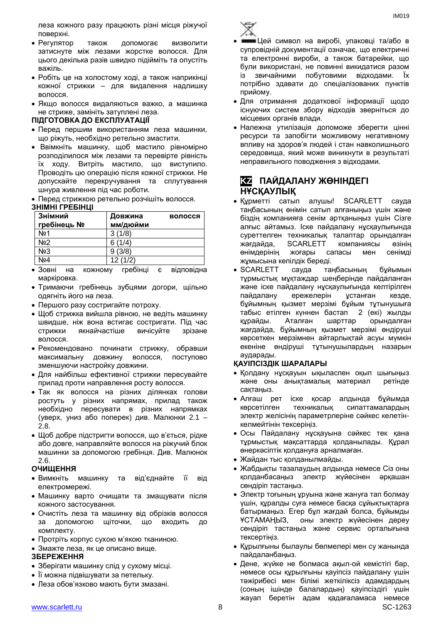леза кожного разу працюють різні місця ріжучої поверхні.

- Регулятор також допомогає визволити затиснуте між лезами жорстке волосся. Для цього декілька разів швидко підійміть та опустіть важіль.
- Робіть це на холостому ході, а також наприкінці кожної стрижки – для видалення надлишку волосся.
- Якщо волосся видаляються важко, а машинка не стриже, замініть затуплені леза.

#### **ПІДГОТОВКА ДО ЕКСПЛУАТАЦІЇ**

- Перед першим використанням леза машинки, що ріжуть, необхідно ретельно змастити.
- Ввімкніть машинку, щоб мастило рівномірно розподілилося між лезами та перевірте рівність їх ходу. Витріть мастило, що виступило. Проводіть цю операцію після кожної стрижки. Не допускайте перекручування та сплутування шнура живлення під час роботи.
- Перед стрижкою ретельно розчішіть волосся.

# **ЗНІМНІ ГРЕБІНЦІ**

| Знімний<br>гребінець № | Довжина<br>мм/дюйми | волосся |
|------------------------|---------------------|---------|
| No <sub>1</sub>        | 3(1/8)              |         |
| N <sub>2</sub>         | 6(1/4)              |         |
| N <sub>23</sub>        | 9(3/8)              |         |
| Nº4                    | 12(1/2)             |         |

- Зовні на кожному гребінці є відповідна маркіровка.
- Тримаючи гребінець зубцями догори, щільно одягніть його на леза.
- Першого разу состригайте потроху.
- Щоб стрижка вийшла рівною, не ведіть машинку швидше, ніж вона встигає состригати. Під час стрижки якнайчастіше вичісуйте зрізане волосся.
- Рекомендовано починати стрижку, обравши максимальну довжину волосся, поступово зменшуючи настройку довжини.
- Для найбільш ефективної стрижки пересувайте прилад проти направлення росту волосся.
- Так як волосся на різних ділянках голови ростуть у різних напрямах, прилад також необхідно пересувати в різних напрямках (уверх, униз або поперек) див. Малюнки 2.1 – 2.8.
- Щоб добре підстригти волосся, що в'ється, рідке або довге, направляйте волосся на ріжучий блок машинки за допомогою гребінця. Див. Малюнок 2.6.

### **ОЧИЩЕННЯ**

- Вимкніть машинку та від'єднайте її від електромережі.
- Машинку варто очищати та змащувати після кожного застосування.
- Очистіть леза та машинку від обрізків волосся за допомогою щіточки, що входить до комплекту.
- Протріть корпус сухою м'якою тканиною.
- Змажте леза, як це описано вище.

### **ЗБЕРЕЖЕННЯ**

- Зберігати машинку слід у сухому місці.
- Її можна підвішувати за петельку.
- Леза обов'язково мають бути змазані.



- Цей символ на виробі, упаковці та/або в супровідній документації означає, що електричні та електронні вироби, а також батарейки, що були використані, не повинні викидатися разом із звичайними побутовими відходами. Їх потрібно здавати до спеціалізованих пунктів прийому.
- Для отримання додаткової інформації щодо існуючих систем збору відходів зверніться до місцевих органів влади.
- Належна утилізація допоможе зберегти цінні ресурси та запобігти можливому негативному впливу на здоров'я людей і стан навколишнього середовища, який може виникнути в результаті неправильного поводження з відходами.

# **KZ ПАЙДАЛАНУ ЖӨНІНДЕГІ НҰСҚАУЛЫҚ**

- Құрметті сатып алушы! SCARLETT сауда таңбасының өнімін сатып алғаныңыз үшін және біздің компанияға сенім артқаныңыз үшін Сізге алғыс айтамыз. Іске пайдалану нұсқаулығында суреттелген техникалық талаптар орындалған жағдайда, SCARLETT компаниясы өзінің өнімдерінің жоғары сапасы мен сенімді жұмысына кепілдік береді.
- SCARLETT сауда таңбасының бұйымын тұрмыстық мұқтаждар шеңберінде пайдаланған және іске пайдалану нұсқаулығында келтірілген пайдалану ережелерін ұстанған кезде, бұйымның қызмет мерзімі бұйым тұтынушыға табыс етілген күннен бастап 2 (екі) жылды құрайды. Аталған шарттар орындалған жағдайда, бұйымның қызмет мерзімі өндіруші көрсеткен мерзімнен айтарлықтай асуы мүмкін екеніне өндіруші тұтынушылардың назарын аударады.

### **ҚАУІПСІЗДІК ШАРАЛАРЫ**

- Қолдану нұсқауын ықыласпен оқып шығыңыз және оны анықтамалық материал ретінде сақтаңыз.
- Алғаш рет іске қосар алдында бұйымда көрсетілген техникалық сипаттамалардың электр желісінің параметрлеріне сәйкес келетінкелмейтінін тексеріңіз.
- Осы Пайдалану нұсқауына сәйкес тек қана тұрмыстық мақсаттарда қолданылады. Құрал өнеркәсіптік қолдануға арналмаған.
- Жайдан тыс колданылмайды.
- Жабдықты тазалаудың алдында немесе Сіз оны қолданбасаңыз электр жүйесінен әрқашан сөндіріп тастаңыз.
- Электр тоғының ұруына және жануға тап болмау үшін, құралды суға немесе басқа сұйықтықтарға батырмаңыз. Егер бұл жағдай болса, бұйымды ҰСТАМАҢЫЗ, оны электр жүйесінен дереу сөндіріп тастаңыз және сервис орталығына тексертіңіз.
- Құрылғыны былаулы бөлмелері мен су жанында пайдаланбаңыз.
- www.scarlett.ru 8 SC-1263 Дене, жүйке не болмаса ақыл-ой кемістігі бар, немесе осы құрылғыны қауіпсіз пайдалану үшін тәжірибесі мен білімі жеткіліксіз адамдардың (соның ішінде балалардың) қауіпсіздігі үшін жауап беретін адам қадағаламаса немесе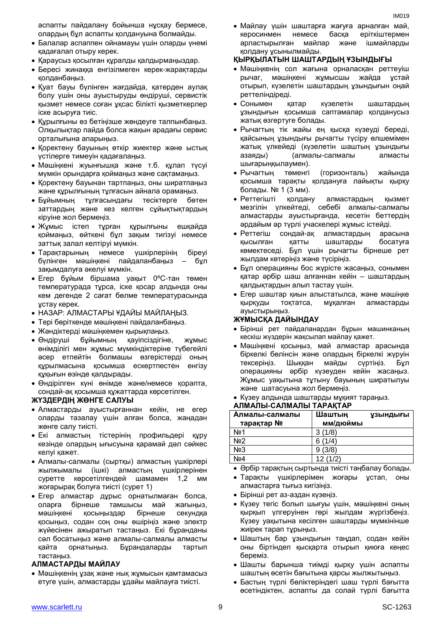аспапты пайдалану бойынша нұсқау бермесе, олардың бұл аспапты қолдануына болмайды.

- Балалар аспаппен ойнамауы үшін оларды үнемі қадағалап отыру керек.
- Қараусыз қосылған құралды қалдырмаңыздар.
- Бересі жинаққа енгізілмеген керек-жарақтарды қолданбаңыз.
- Қуат бауы бүлінген жағдайда, қатерден аулақ болу үшін оны ауыстыруды өндіруші, сервистік қызмет немесе соған ұқсас білікті қызметкерлер іске асыруға тиіс.
- Құрылғыны өз бетіңізше жөндеуге талпынбаңыз. Олқылықтар пайда болса жақын арадағы сервис орталығына апарыңыз.
- Қоректену бауының өткір жиектер және ыстық үстілерге тимеуін қадағалаңыз.
- Мәшіңкені жуынғышқа және т.б. құлап түсуі мүмкін орындарға қоймаңыз және сақтамаңыз.
- Қоректену бауынан тартпаңыз, оны ширатпаңыз және құрылғының тұлғасын айнала орамаңыз.
- Бұйымның тұлғасындағы тесіктерге бөтен заттардың және кез келген сұйықтықтардың кіруіне жол бермеңіз.
- Жұмыс істеп тұрған құрылғыны ешқайда қоймаңыз, өйткені бұл зақым тигізуі немесе заттық залал келтіруі мүмкін.
- Тарақтарының немесе үшкірлерінің біреуі бүлінген мәшіңкені пайдаланбаңыз – бұл зақымдалуға әкелуі мүмкін.
- Егер бұйым біршама уақыт 0ºC-тан төмен температурада тұрса, іске қосар алдында оны кем дегенде 2 сағат бөлме температурасында ұстау керек.
- НАЗАР: АЛМАСТАРЫ ҰДАЙЫ МАЙЛАҢЫЗ.
- Тері бөріткенде мәшіңкені пайдаланбаңыз.
- Жәндіктерді мәшіңкемен қырықпаңыз.
- Өндіруші бұйымның қауіпсіздігіне, жұмыс өнімділігі мен жұмыс мүмкіндіктеріне түбегейлі әсер етпейтін болмашы өзгерістерді оның құрылмасына қосымша ескертпестен енгізу құқығын өзінде қалдырады.
- Өндірілген күні өнімде және/немесе қорапта, сондай-ақ қосымша құжаттарда көрсетілген.

#### **ЖҮЗДЕРДІҢ ЖӨНГЕ САЛУЫ**

- Алмастарды ауыстырғаннан кейін, не егер оларды тазалау үшін алған болса, жаңадан жөнге салу тиісті.
- Екі алмастың тістерінің профильдері құру кезінде олардың ығысуына қарамай дәл сәйкес келуі қажет.
- Алмалы-салмалы (сыртқы) алмастың үшкірлері жылжымалы (ішкі) алмастың үшкірлерінен суретте көрсетілгендей шамамен 1,2 мм жоғарырақ болуға тиісті (сурет 1)
- Егер алмастар дұрыс орнатылмаған болса, оларға бірнеше тамшысы май жағыңыз, мәшіңкені қосыңыздар бірнеше секундқа қосыңыз, содан соң оны өшіріңіз және электр жүйесінен ажыратып тастаңыз. Екі бұранданы сәл босатыңыз және алмалы-салмалы алмасты қайта орнатыңыз. Бұрандаларды тартып тастаңыз.

### **АЛМАСТАРДЫ МАЙЛАУ**

 Мәшіңкенің ұзақ және нық жұмысын қамтамасыз етуге үшін, алмастарды ұдайы майлауға тиісті.

 Майлау үшін шаштарға жағуға арналған май, керосинмен немесе басқа еріткіштермен арластырылған майлар және ішмайларды қолдану ұсынылмайды.

#### **ҚЫРҚЫЛАТЫН ШАШТАРДЫҢ ҰЗЫНДЫҒЫ**

- Мәшіңкенің сол жағына орналасқан реттеуіш рычаг, мәшіңкені жұмысшы жайда ұстай отырып, күзелетін шаштардың ұзындығын оңай реттеліндіреді.
- Сонымен қатар күзелетін шаштардың ұзындығын қосымша саптамалар қолданусыз жатық өзгертуге болады.
- Рычагтың тік жайы ең қысқа күзеуді береді, қайсының ұзындығы рычагты түсіру өлшемімен жатық үлкейеді (күзелетін шаштың ұзындығы азаяды) (алмалы-салмалы алмасты шығарыңқылаумен).
- Рычагтың төменгі (горизонталь) жайында қосымша тарақты қолдануға лайықты қырқу болады. № 1 (3 мм).
- Реттегішті қолдану алмастардың қызмет мезгілін үлкейтеді, себебі алмалы-салмалы алмастарды ауыстырғанда, кесетін беттердің әрдайым әр түрлі учаскелері жұмыс істейді.
- Реттегіш сондай-ақ алмастардың арасына қысылған қатты шаштарды босатуға көмектеседі. Бұл үшін рычагты бірнеше рет жылдам көтеріңіз және түсіріңіз.
- Бұл операцияны бос жүрісте жасаңыз, сонымен қатар әрбір шаш алғаннан кейін – шаштардың қалдықтардын алып тастау үшін.
- Егер шаштар қиын алыстатылса, және мәшіңке қырқуды тоқтатса, мұқалған алмастарды ауыстырыңыз.

### **ЖҰМЫСҚА ДАЙЫНДАУ**

- Бірінші рет пайдаланардан бұрын машинканың кескіш жүздерін жақсылап майлау қажет.
- Мәшіңкені қосыңыз, май алмастар арасында біркелкі бөлінсін және олардың біркелкі жүруін тексеріңіз. Шыққан майды сүртіңіз. Бұл операцияны әрбір күзеуден кейін жасаңыз. Жұмыс уақытына тұтыну бауының ширатылуы және шатасуына жол бермеңіз.
- Күзеу алдында шаштарды мұқият тараңыз.

#### **АЛМАЛЫ-САЛМАЛЫ ТАРАҚТАР**

| Алмалы-салмалы   | Шаштың   | <b>УЗЫНДЫҒЫ</b> |
|------------------|----------|-----------------|
| тарақтар №       | мм/дюймы |                 |
| Nº1              | 3(1/8)   |                 |
| N <sub>2</sub> 2 | 6(1/4)   |                 |
| N <sub>23</sub>  | 9(3/8)   |                 |
| No <sub>4</sub>  | 12(1/2)  |                 |

- Әрбір тарақтың сыртында тиісті таңбалау болады.
- Тарақты үшкірлерімен жоғары ұстап, оны алмастарға тығыз кигізіңіз.
- Бірінші рет аз-аздан күзеңіз.
- Күзеу тегіс болып шығуы үшін, мәшіңкені оның қырқып үлгеруінен гөрі жылдам жүргізбеңіз. Күзеу уақытына кесілген шаштарды мүмкінінше жиірек тарап тұрыңыз.
- Шаштың бар ұзындығын таңдап, содан кейін оны біртіндеп қысқарта отырып қиюға кеңес береміз.
- Шашты барынша тиімді қырқу үшін аспапты шаштың өсетін бағытына қарсы жылжытыңыз.
- Бастың түрлі бөліктеріндегі шаш түрлі бағытта өсетіндіктен, аспапты да солай түрлі бағытта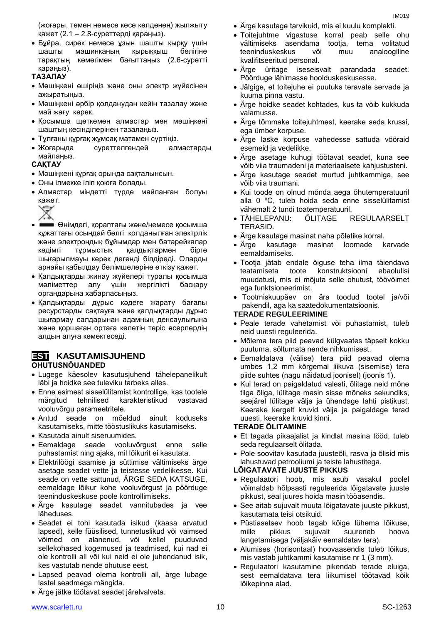(жоғары, төмен немесе кесе көлденең) жылжыту қажет (2.1 – 2.8-суреттерді қараңыз).

 Бұйра, сирек немесе ұзын шашты қырқу үшін шашты машинканың қырыққыш бөлігіне тарақтың көмегімен бағыттаңыз (2.6-суретті қараңыз).

### **ТАЗАЛАУ**

- Мәшіңкені өшіріңіз және оны электр жүйесінен ажыратыңыз.
- Мәшіңкені әрбір қолданудан кейін тазалау және май жағу керек.
- Қосымша щөткемен алмастар мен мәшіңкені шаштың кесінділерінен тазалаңыз.
- Тұлғаны құрғақ жұмсақ матамен сүртіңіз.
- Жоғарыда суреттелгендей алмастарды майлаңыз.

# **САҚТАУ**

- Мәшіңкені құрғақ орында сақталынсын.
- Оны ілмекке іліп қоюға болады.
- Алмастар міндетті түрде майланған болуы қажет.



- Өнімдегі, қораптағы және/немесе қосымша құжаттағы осындай белгі қолданылған электрлік және электрондық бұйымдар мен батарейкалар кәдімгі тұрмыстық қалдықтармен бірге шығарылмауы керек дегенді білдіреді. Оларды арнайы қабылдау бөлімшелеріне өткізу қажет.
- Қалдықтарды жинау жүйелері туралы қосымша мәліметтер алу үшін жергілікті басқару органдарына хабарласыңыз.
- Қалдықтарды дұрыс кәдеге жарату бағалы ресурстарды сақтауға және қалдықтарды дұрыс шығармау салдарынан адамның денсаулығына және қоршаған ортаға келетін теріс әсерлердің алдын алуға көмектеседі.

# **EST KASUTAMISJUHEND OHUTUSNÕUANDED**

- Lugege käesolev kasutusjuhend tähelepanelikult läbi ja hoidke see tuleviku tarbeks alles.
- Enne esimest sisselülitamist kontrollige, kas tootele märgitud tehnilised karakteristikud vastavad vooluvõrgu parameetritele.
- Antud seade on mõeldud ainult koduseks kasutamiseks, mitte tööstuslikuks kasutamiseks.
- Kasutada ainult siseruumides.
- Eemaldage seade vooluvõrgust enne selle puhastamist ning ajaks, mil lõikurit ei kasutata.
- Elektrilöögi saamise ja süttimise vältimiseks ärge asetage seadet vette ja teistesse vedelikesse. Kui seade on vette sattunud, ÄRGE SEDA KATSUGE, eemaldage lõikur kohe vooluvõrgust ja pöörduge teeninduskeskuse poole kontrollimiseks.
- Ärge kasutage seadet vannitubades ja vee läheduses.
- Seadet ei tohi kasutada isikud (kaasa arvatud lapsed), kelle füüsilised, tunnetuslikud või vaimsed võimed on alanenud, või kellel puuduvad sellekohased kogemused ja teadmised, kui nad ei ole kontrolli all või kui neid ei ole juhendanud isik, kes vastutab nende ohutuse eest.
- Lapsed peavad olema kontrolli all, ärge lubage lastel seadmega mängida.
- Ärge jätke töötavat seadet järelvalveta.
- Ärge kasutage tarvikuid, mis ei kuulu komplekti.
- Toitejuhtme vigastuse korral peab selle ohu vältimiseks asendama tootja, tema volitatud teeninduskeskus või muu analoogiline kvalifitseeritud personal.
- Ärge üritage iseseisvalt parandada seadet. Pöörduge lähimasse hoolduskeskusesse.
- Jälgige, et toitejuhe ei puutuks teravate servade ja kuuma pinna vastu.
- Ärge hoidke seadet kohtades, kus ta võib kukkuda valamusse.
- Ärge tõmmake toitejuhtmest, keerake seda krussi, ega ümber korpuse.
- Ärge laske korpuse vahedesse sattuda võõraid esemeid ja vedelikke.
- Ärge asetage kuhugi töötavat seadet, kuna see võib viia traumadeni ja materiaalsete kahjustusteni.
- Ärge kasutage seadet murtud juhtkammiga, see võib viia traumani.
- Kui toode on olnud mõnda aega õhutemperatuuril alla 0 ºC, tuleb hoida seda enne sisselülitamist vähemalt 2 tundi toatemperatuuril.
- TÄHELEPANU: ÕLITAGE REGULAARSELT TERASID.
- Ärge kasutage masinat naha põletike korral.
- Ärge kasutage masinat loomade karvade eemaldamiseks.
- Tootja jätab endale õiguse teha ilma täiendava teatamiseta toote konstruktsiooni ebaolulisi muudatusi, mis ei mõjuta selle ohutust, töövõimet ega funktsioneerimist.
- Tootmiskuupäev on ära toodud tootel ja/või pakendil, aga ka saatedokumentatsioonis.

## **TERADE REGULEERIMINE**

- Peale terade vahetamist või puhastamist, tuleb neid uuesti reguleerida.
- Mõlema tera piid peavad külgvaates täpselt kokku puutuma, sõltumata nende nihkumisest.
- Eemaldatava (välise) tera piid peavad olema umbes 1,2 mm kõrgemal liikuva (sisemise) tera piide suhtes (nagu näidatud joonisel) (joonis 1).
- Kui terad on paigaldatud valesti, õlitage neid mõne tilga õliga, lülitage masin sisse mõneks sekundiks, seejärel lülitage välja ja ühendage lahti pistikust. Keerake kergelt kruvid välja ja paigaldage terad uuesti, keerake kruvid kinni.

# **TERADE ÕLITAMINE**

- Et tagada pikaajalist ja kindlat masina tööd, tuleb seda regulaarselt õlitada.
- Pole soovitav kasutada juusteõli, rasva ja õlisid mis lahustuvad petrooliumi ja teiste lahustitega.

### **LÕIGATAVATE JUUSTE PIKKUS**

- Regulaatori hoob, mis asub vasakul poolel võimaldab hõlpsasti reguleerida lõigatavate juuste pikkust, seal juures hoida masin tööasendis.
- See aitab sujuvalt muuta lõigatavate juuste pikkust, kasutamata teisi otsikuid.
- Püstiasetsev hoob tagab kõige lühema lõikuse, mille pikkus sujuvalt suureneb hoova langetamisega (väljakäiv eemaldatav tera).
- Alumises (horisontaal) hoovaasendis tuleb lõikus, mis vastab juhtkammi kasutamise nr 1 (3 mm).
- Regulaatori kasutamine pikendab terade eluiga, sest eemaldatava tera liikumisel töötavad kõik lõikepinna alad.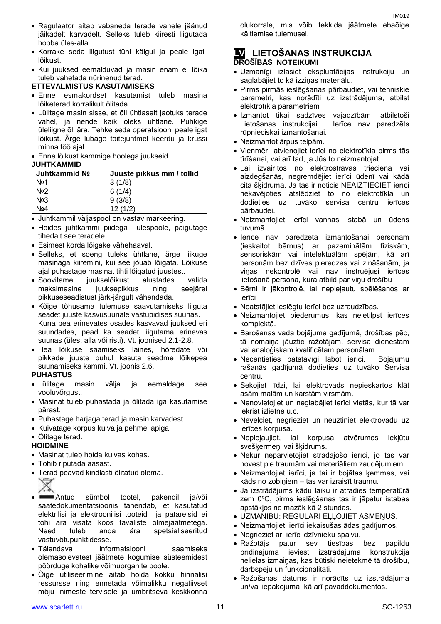- Korrake seda liigutust tühi käigul ja peale igat lõikust.
- Kui juuksed eemalduvad ja masin enam ei lõika tuleb vahetada nürinenud terad.

### **ETTEVALMISTUS KASUTAMISEKS**

- Enne esmakordset kasutamist tuleb masina lõiketerad korralikult õlitada.
- Lülitage masin sisse, et õli ühtlaselt jaotuks terade vahel, ja nende käik oleks ühtlane. Pühkige üleliigne õli ära. Tehke seda operatsiooni peale igat lõikust. Ärge lubage toitejuhtmel keerdu ja krussi minna töö ajal.
- Enne lõikust kammige hoolega juukseid.

#### **JUHTKAMMID**

| Juhtkammid Nº    | Juuste pikkus mm / tollid |
|------------------|---------------------------|
| Nº1              | 3(1/8)                    |
| N <sub>2</sub> 2 | (1/4)                     |
| $N2$ 3           | 9(3/8)                    |
| Nº4              | 12(1/2)                   |

Juhtkammil väljaspool on vastav markeering.

- Hoides juhtkammi piidega ülespoole, paigutage tihedalt see teradele.
- Esimest korda lõigake vähehaaval.
- Selleks, et soeng tuleks ühtlane, ärge liikuge masinaga kiiremini, kui see jõuab lõigata. Lõikuse ajal puhastage masinat tihti lõigatud juustest.
- Soovitame juukselõikust alustades valida maksimaalne juuksepikkus ning seejärel pikkuseseadistust järk-järgult vähendada.
- Kõige tõhusama tulemuse saavutamiseks liiguta seadet juuste kasvusuunale vastupidises suunas. Kuna pea erinevates osades kasvavad juuksed eri suundades, pead ka seadet liigutama erinevas suunas (üles, alla või risti). Vt. joonised 2.1-2.8.
- Hea lõikuse saamiseks laines, hõredate või pikkade juuste puhul kasuta seadme lõikepea suunamiseks kammi. Vt. joonis 2.6.

### **PUHASTUS**

- Lülitage masin välja ja eemaldage see vooluvõrgust.
- Masinat tuleb puhastada ja õlitada iga kasutamise pärast.
- Puhastage harjaga terad ja masin karvadest.
- Kuivatage korpus kuiva ja pehme lapiga.
- Õlitage terad.

### **HOIDMINE**

- Masinat tuleb hoida kuivas kohas.
- Tohib riputada aasast.
- Terad peavad kindlasti õlitatud olema.



- Antud sümbol tootel, pakendil ja/või saatedokumentatsioonis tähendab, et kasutatud elektrilisi ja elektroonilisi tooteid ja patareisid ei tohi ära visata koos tavaliste olmejäätmetega. Need tuleb anda ära spetsialiseeritud vastuvõtupunktidesse.
- Täiendava informatsiooni saamiseks olemasolevatest jäätmete kogumise süsteemidest pöörduge kohalike võimuorganite poole.
- Õige utiliseerimine aitab hoida kokku hinnalisi ressursse ning ennetada võimalikku negatiivset mõju inimeste tervisele ja ümbritseva keskkonna

olukorrale, mis võib tekkida jäätmete ebaõige käitlemise tulemusel.

IM019

# **LV LIETOŠANAS INSTRUKCIJA**

## **DROŠĪBAS NOTEIKUMI**

- Uzmanīgi izlasiet ekspluatācijas instrukciju un saglabājiet to kā izziņas materiālu.
- Pirms pirmās ieslēgšanas pārbaudiet, vai tehniskie parametri, kas norādīti uz izstrādājuma, atbilst elektrotīkla parametriem
- Izmantot tikai sadzīves vajadzībām, atbilstoši Lietošanas instrukcijai. Ierīce nav paredzēts rūpnieciskai izmantošanai.
- Neizmantot ārpus telpām.
- Vienmēr atvienojiet ierīci no elektrotīkla pirms tās tīrīšanai, vai arī tad, ja Jūs to neizmantojat.
- Lai izvairītos no elektrostrāvas trieciena vai aizdegšanās, negremdējiet ierīci ūdenī vai kādā citā šķidrumā. Ja tas ir noticis NEAIZTIECIET ierīci nekavējoties atslēdziet to no elektrotīkla un dodieties uz tuvāko servisa centru ierīces pārbaudei.
- Neizmantojiet ierīci vannas istabā un ūdens tuvumā.
- Ierīce nav paredzēta izmantošanai personām (ieskaitot bērnus) ar pazeminātām fiziskām, sensoriskām vai intelektuālām spējām, kā arī personām bez dzīves pieredzes vai zināšanām, ja viņas nekontrolē vai nav instruējusi ierīces lietošanā persona, kura atbild par viņu drošību
- Bērni ir jākontrolē, lai nepieļautu spēlēšanos ar ierīci
- Neatstājiet ieslēgtu ierīci bez uzraudzības.
- Neizmantojiet piederumus, kas neietilpst ierīces komplektā.
- Barošanas vada bojājuma gadījumā, drošības pēc, tā nomaiņa jāuztic ražotājam, servisa dienestam vai analoģiskam kvalificētam personālam
- Necentieties patstāvīgi labot ierīci. Bojājumu rašanās gadījumā dodieties uz tuvāko Servisa centru.
- Sekojiet līdzi, lai elektrovads nepieskartos klāt asām malām un karstām virsmām.
- Nenovietojiet un neglabājiet ierīci vietās, kur tā var iekrist izlietnē u.c.
- Nevelciet, negrieziet un neuztiniet elektrovadu uz ierīces korpusa.
- Nepieļaujiet, lai korpusa atvērumos iekļūtu svešķermeņi vai šķidrums.
- Nekur nepārvietojiet strādājošo ierīci, jo tas var novest pie traumām vai materiāliem zaudējumiem.
- Neizmantojiet ierīci, ja tai ir bojātas ķemmes, vai kāds no zobiņiem – tas var izraisīt traumu.
- Ja izstrādājums kādu laiku ir atradies temperatūrā zem 0ºC, pirms ieslēgšanas tas ir jāpatur istabas apstākļos ne mazāk kā 2 stundas.
- UZMANĪBU: REGULĀRI EĻĻOJIET ASMEŅUS.
- Neizmantojiet ierīci iekaisušas ādas gadījumos.
- Negrieziet ar ierīci dzīvnieku spalvu.
- Ražotājs patur sev tiesības bez papildu brīdinājuma ieviest izstrādājuma konstrukcijā nelielas izmaiņas, kas būtiski neietekmē tā drošību, darbspēju un funkcionalitāti.
- Ražošanas datums ir norādīts uz izstrādājuma un/vai iepakojuma, kā arī pavaddokumentos.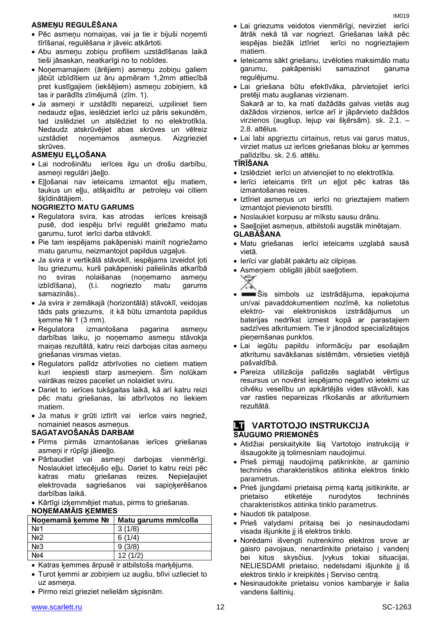## **ASMEŅU REGULĒŠANA**

- Pēc asmeņu nomaiņas, vai ja tie ir bijuši noņemti tīrīšanai, regulēšana ir jāveic atkārtoti.
- Abu asmeņu zobiņu profiliem uzstādīšanas laikā tieši jāsaskan, neatkarīgi no to nobīdes.
- Noņemamajiem (ārējiem) asmeņu zobiņu galiem jābūt izbīdītiem uz āru apmēram 1,2mm attiecībā pret kustīgajiem (iekšējiem) asmeņu zobiņiem, kā tas ir parādīts zīmējumā (zīm. 1).
- Ja asmeņi ir uzstādīti nepareizi, uzpiliniet tiem nedaudz eļļas, ieslēdziet ierīci uz pāris sekundēm, tad izslēdziet un atslēdziet to no elektrotīkla. Nedaudz atskrūvējiet abas skrūves un vēlreiz uzstādiet noņemamos asmeņus. Aizgrieziet skrūves.

### **ASMEŅU EĻĻOŠANA**

- Lai nodrošinātu ierīces ilgu un drošu darbību, asmeņi regulāri jāeļļo.
- Eļļošanai nav ieteicams izmantot eļļu matiem, taukus un eļļu, atšķaidītu ar petroleju vai citiem šķīdinātājiem.

#### **NOGRIEZTO MATU GARUMS**

- Regulatora svira, kas atrodas ierīces kreisajā pusē, dod iespēju brīvi regulēt griežamo matu garumu, turot ierīci darba stāvoklī.
- Pie tam iespējams pakāpeniski mainīt nogriežamo matu garumu, neizmantojot papildus uzgaļus.
- Ja svira ir vertikālā stāvoklī, iespējams izveidot ļoti īsu griezumu, kurš pakāpeniski palielinās atkarībā no sviras nolaišanas (noņemamo asmeņu izbīdīšana), (t.i. nogriezto matu garums samazinās)..
- Ja svira ir zemākajā (horizontālā) stāvoklī, veidojas tāds pats griezums, it kā būtu izmantota papildus ķemme № 1 (3 mm).
- Regulatora izmantošana pagarina asmeņu darbības laiku, jo noņemamo asmeņu stāvokļa maiņas rezultātā, katru reizi darbojas citas asmeņu griešanas virsmas vietas.
- Regulators palīdz atbrīvoties no cietiem matiem kuri iespiesti starp asmeņiem. Šim nolūkam vairākas reizes paceliet un nolaidiet sviru.
- Dariet to ierīces tukšgaitas laikā, kā arī katru reizi pēc matu griešanas, lai atbrīvotos no liekiem matiem.
- Ja matus ir grūti iztīrīt vai ierīce vairs negriež, nomainiet neasos asmenus.

# **SAGATAVOŠANĀS DARBAM**

- Pirms pirmās izmantošanas ierīces griešanas asmeņi ir rūpīgi jāieeļļo.
- Pārbaudiet vai asmeni darbojas vienmērīgi. Noslaukiet iztecējušo eļļu. Dariet to katru reizi pēc katras matu griešanas reizes. Nepieļaujiet elektrovada sagriešanos vai sapiņķerēšanos darbības laikā.
- Kārtīgi izķemmējiet matus, pirms to griešanas.

## **NOŅEMAMĀIS ĶEMMES**

| Noņemamā ķemme № | Matu garums mm/colla |
|------------------|----------------------|
| No <sub>1</sub>  | 3(1/8)               |
| N <sub>2</sub>   | 6(1/4)               |
| N <sub>23</sub>  | 9(3/8)               |
| Nº4              | 12(1/2)              |

- Katras ķemmes ārpusē ir atbilstošs marķējums.
- Turot ķemmi ar zobiņiem uz augšu, blīvi uzlieciet to uz asmena.
- Pirmo reizi grieziet nelielām sķpisnām.
- Lai griezums veidotos vienmērīgi, nevirziet ierīci ātrāk nekā tā var nogriezt. Griešanas laikā pēc iespējas biežāk iztīriet ierīci no nogrieztajiem matiem.
- Ieteicams sākt griešanu, izvēloties maksimālo matu garumu, pakāpeniski samazinot garuma regulējumu.
- Lai griešana būtu efektīvāka, pārvietojiet ierīci pretēji matu augšanas virzienam.
- Sakarā ar to, ka mati dažādās galvas vietās aug dažādos virzienos, ierīce arī ir jāpārvieto dažādos virzienos (augšup, lejup vai šķērsām). sk. 2.1. – 2.8. attēlus.
- Lai labi apgrieztu cirtainus, retus vai garus matus, virziet matus uz ierīces griešanas bloku ar ķemmes palīdzību. sk. 2.6. attēlu.

#### **TĪRĪŠANA**

- Izslēdziet ierīci un atvienojiet to no elektrotīkla.
- Ierīci ieteicams tīrīt un eļļot pēc katras tās izmantošanas reizes.
- Iztīriet asmeņus un ierīci no grieztajiem matiem izmantojot pievienoto birstīti.
- Noslaukiet korpusu ar mīkstu sausu drānu.
- Saeļļojiet asmeņus, atbilstoši augstāk minētajam.

### **GLABĀŠANA**

- Matu griešanas ierīci ieteicams uzglabā sausā vietā.
- Ierīci var glabāt pakārtu aiz cilpiņas.
- Asmeņiem obligāti jābūt saeļļotiem.

| ۱ |
|---|
| ۱ |
|   |

- Šis simbols uz izstrādājuma, iepakojuma un/vai pavaddokumentiem nozīmē, ka nolietotus elektro- vai elektroniskos izstrādājumus un baterijas nedrīkst izmest kopā ar parastajiem sadzīves atkritumiem. Tie ir jānodod specializētajos pieņemšanas punktos.
- Lai iegūtu papildu informāciju par esošajām atkritumu savākšanas sistēmām, vērsieties vietējā pašvaldībā.
- Pareiza utilizācija palīdzēs saglabāt vērtīgus resursus un novērst iespējamo negatīvo ietekmi uz cilvēku veselību un apkārtējās vides stāvokli, kas var rasties nepareizas rīkošanās ar atkritumiem rezultātā.

# **LT** VARTOTOJO INSTRUKCIJA **SAUGUMO PRIEMONĖS**

- Atidžiai perskaitykite šią Vartotojo instrukciją ir išsaugokite ją tolimesniam naudojimui.
- Prieš pirmąjį naudojimą patikrinkite, ar gaminio techninės charakteristikos atitinka elektros tinklo parametrus.
- Prieš įjungdami prietaisą pirmą kartą įsitikinkite, ar prietaiso etiketėje nurodytos techninės charakteristikos atitinka tinklo parametrus.
- Naudoti tik patalpose.
- Prieš valydami pritaisą bei jo nesinaudodami visada išjunkite jį iš elektros tinklo.
- Norėdami išvengti nutrenkimo elektros srove ar gaisro pavojaus, nenardinkite prietaiso į vandenį bei kitus skysčius. Įvykus tokiai situacijai, NELIESDAMI prietaiso, nedelsdami išjunkite jį iš elektros tinklo ir kreipkitės į Serviso centrą.
- Nesinaudokite prietaisu vonios kambaryje ir šalia vandens šaltinių.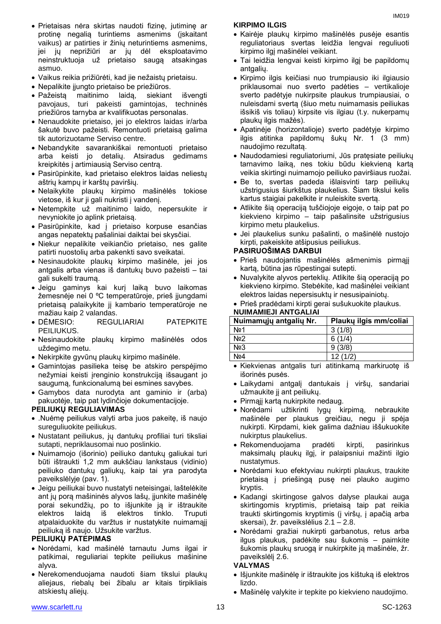- Prietaisas nėra skirtas naudoti fizinę, jutiminę ar protinę negalią turintiems asmenims (įskaitant vaikus) ar patirties ir žinių neturintiems asmenims, jei jų neprižiūri ar jų dėl eksploatavimo neinstruktuoja už prietaiso saugą atsakingas asmuo.
- Vaikus reikia prižiūrėti, kad jie nežaistų prietaisu.
- Nepalikite įjungto prietaiso be priežiūros.
- Pažeistą maitinimo laidą, siekiant išvengti pavojaus, turi pakeisti gamintojas, techninės priežiūros tarnyba ar kvalifikuotas personalas.
- Nenaudokite prietaiso, jei jo elektros laidas ir/arba šakutė buvo pažeisti. Remontuoti prietaisą galima tik autorizuotame Serviso centre.
- Nebandykite savarankiškai remontuoti prietaiso arba keisti jo detalių. Atsiradus gedimams kreipkitės į artimiausią Serviso centrą.
- Pasirūpinkite, kad prietaiso elektros laidas neliestų aštrių kampų ir karštų paviršių.
- Nelaikykite plaukų kirpimo mašinėlės tokiose vietose, iš kur ji gali nukristi į vandenį.
- Netempkite už maitinimo laido, nepersukite ir nevyniokite jo aplink prietaisą.
- Pasirūpinkite, kad į prietaiso korpuse esančias angas nepatektų pašaliniai daiktai bei skysčiai.
- Niekur nepalikite veikiančio prietaiso, nes galite patirti nuostolių arba pakenkti savo sveikatai.
- Nesinaudokite plaukų kirpimo mašinėle, jei jos antgalis arba vienas iš dantukų buvo pažeisti – tai gali sukelti traumą.
- Jeigu gaminys kai kurį laiką buvo laikomas žemesnėje nei 0 ºC temperatūroje, prieš įjungdami prietaisą palaikykite jį kambario temperatūroje ne mažiau kaip 2 valandas.
- DĖMESIO: REGULIARIAI PATEPKITE PEILIUKUS.
- Nesinaudokite plaukų kirpimo mašinėlės odos uždegimo metu.
- Nekirpkite gyvūnų plaukų kirpimo mašinėle.
- Gamintojas pasilieka teisę be atskiro perspėjimo nežymiai keisti įrenginio konstrukciją išsaugant jo saugumą, funkcionalumą bei esmines savybes.
- Gamybos data nurodyta ant gaminio ir (arba) pakuotėje, taip pat lydinčioje dokumentacijoje.

#### **PEILIUKŲ REGULIAVIMAS**

- .Nuėmę peiliukus valyti arba juos pakeitę, iš naujo sureguliuokite peiliukus.
- Nustatant peiliukus, jų dantukų profiliai turi tiksliai sutapti, nepriklausomai nuo poslinkio.
- Nuimamojo (išorinio) peiliuko dantukų galiukai turi būti ištraukti 1,2 mm aukščiau lankstaus (vidinio) peiliuko dantukų galiukų, kaip tai yra parodyta paveikslėlyje (pav. 1).
- Jeigu peiliukai buvo nustatyti neteisingai, laštelėkite ant jų porą mašininės alyvos lašų, įjunkite mašinėlę porai sekundžių, po to išjunkite ją ir ištraukite elektros laidą iš elektros tinklo. Truputi atpalaiduokite du varžtus ir nustatykite nuimamąjį peiliuką iš naujo. Užsukite varžtus.

#### **PEILIUKŲ PATEPIMAS**

- Norėdami, kad mašinėlė tarnautu Jums ilgai ir patikimai, reguliariai tepkite peiliukus mašinine alyva.
- Nerekomenduojama naudoti šiam tikslui plaukų aliejaus, riebalų bei žibalu ar kitais tirpikliais atskiestų aliejų.

### **KIRPIMO ILGIS**

- Kairėje plaukų kirpimo mašinėlės pusėje esantis reguliatoriaus svertas leidžia lengvai reguliuoti kirpimo ilgį mašinėlei veikiant.
- Tai leidžia lengvai keisti kirpimo ilgį be papildomų antgalių.
- Kirpimo ilgis keičiasi nuo trumpiausio iki ilgiausio priklausomai nuo sverto padėties – vertikalioje sverto padėtyje nukirpsite plaukus trumpiausiai, o nuleisdami svertą (šiuo metu nuimamasis peiliukas išsikiš vis toliau) kirpsite vis ilgiau (t.y. nukerpamų plaukų ilgis mažės).
- Apatinėje (horizontalioje) sverto padėtyje kirpimo ilgis atitinka papildomų šukų Nr. 1 (3 mm) naudojimo rezultatą.
- Naudodamiesi reguliatoriumi, Jūs pratęsiate peiliukų tarnavimo laiką, nes tokiu būdu kiekvieną kartą veikia skirtingi nuimamojo peiliuko paviršiaus ruožai.
- Be to, svertas padeda išlaisvinti tarp peiliukų užstrigusius šiurkštus plaukelius. Šiam tikslui kelis kartus staigiai pakelkite ir nuleiskite svertą.
- Atlikite šią operaciją tuščiojoje eigoje, o taip pat po kiekvieno kirpimo – taip pašalinsite užstrigusius kirpimo metu plaukelius.
- Jei plaukelius sunku pašalinti, o mašinėlė nustojo kirpti, pakeiskite atšipusius peiliukus.

#### **PASIRUOŠIMAS DARBUI**

- Prieš naudojantis mašinėlės ašmenimis pirmąjį kartą, būtina jas rūpestingai sutepti.
- Nuvalykite alyvos perteklių. Atlikite šią operaciją po kiekvieno kirpimo. Stebėkite, kad mašinėlei veikiant elektros laidas nepersisuktų ir nesusipainiotų. Prieš pradėdami kirpti gerai sušukuokite plaukus.

| <b>NUIMAMIEJI ANTGALIAI</b> |                        |  |
|-----------------------------|------------------------|--|
| Nuimamųjų antgalių Nr.      | Plaukų ilgis mm/coliai |  |
| No <sub>1</sub>             | 3(1/8)                 |  |
| N <sub>2</sub> 2            | 6(1/4)                 |  |
| N <sub>23</sub>             | 9(3/8)                 |  |
| Nº4                         | 12(1/2)                |  |

- Kiekvienas antgalis turi atitinkamą markiruotę iš išorinės pusės.
- Laikydami antgalį dantukais į viršų, sandariai užmaukite jį ant peiliukų.
- Pirmąjį kartą nukirpkite nedaug.
- Norėdami užtikrinti lygų kirpimą, nebraukite mašinėle per plaukus greičiau, negu ji spėja nukirpti. Kirpdami, kiek galima dažniau iššukuokite nukirptus plaukelius.
- Rekomenduojama pradėti kirpti, pasirinkus maksimalų plaukų ilgį, ir palaipsniui mažinti ilgio nustatymus.
- Norėdami kuo efektyviau nukirpti plaukus, traukite prietaisą į priešingą pusę nei plauko augimo kryptis.
- Kadangi skirtingose galvos dalyse plaukai auga skirtingomis kryptimis, prietaisą taip pat reikia traukti skirtingomis kryptimis (į viršų, į apačią arba skersai), žr. paveikslėlius 2.1 – 2.8.
- Norėdami gražiai nukirpti garbanotus, retus arba ilgus plaukus, padėkite sau šukomis – paimkite šukomis plaukų sruogą ir nukirpkite ją mašinėle, žr. paveikslėlį 2.6.

#### **VALYMAS**

- Išjunkite mašinėlę ir ištraukite jos kištuką iš elektros lizdo.
- Mašinėlę valykite ir tepkite po kiekvieno naudojimo.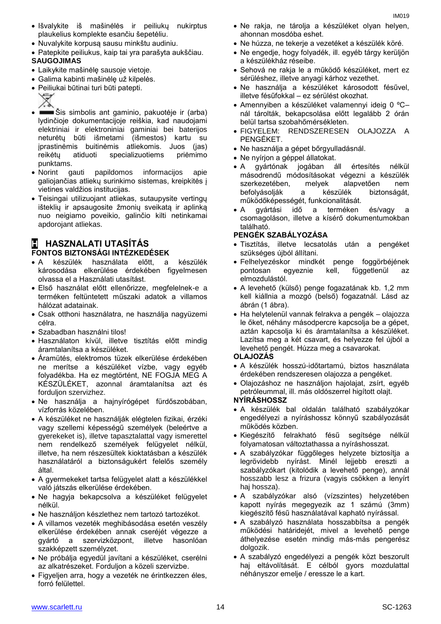- Išvalykite iš mašinėlės ir peiliukų nukirptus plaukelius komplekte esančiu šepetėliu.
- Nuvalykite korpusą sausu minkštu audiniu.
- Patepkite peiliukus, kaip tai yra parašyta aukščiau.
- **SAUGOJIMAS**
- Laikykite mašinėlę sausoje vietoje.
- Galima kabinti mašinėlę už kilpelės.
- Peiliukai būtinai turi būti patepti.
- 
- Šis simbolis ant gaminio, pakuotėje ir (arba) lydinčioje dokumentacijoje reiškia, kad naudojami elektriniai ir elektroniniai gaminiai bei baterijos neturėtų būti išmetami (išmestos) kartu su įprastinėmis buitinėmis atliekomis. Juos (jas) reikėtų atiduoti specializuotiems priėmimo punktams.
- Norint gauti papildomos informacijos apie galiojančias atliekų surinkimo sistemas, kreipkitės į vietines valdžios institucijas.
- Teisingai utilizuojant atliekas, sutaupysite vertingų išteklių ir apsaugosite žmonių sveikatą ir aplinką nuo neigiamo poveikio, galinčio kilti netinkamai apdorojant atliekas.

# **H HASZNALATI UTASÍTÁS FONTOS BIZTONSÁGI INTÉZKEDÉSEK**

- A készülék használata előtt, a készülék károsodása elkerülése érdekében figyelmesen olvassa el a Használati utasítást.
- Első használat előtt ellenőrizze, megfelelnek-e a terméken feltüntetett műszaki adatok a villamos hálózat adatainak.
- Csak otthoni használatra, ne használja nagyüzemi célra.
- Szabadban használni tilos!
- Használaton kívül, illetve tisztítás előtt mindig áramtalanítsa a készüléket.
- Áramütés, elektromos tüzek elkerülése érdekében ne merítse a készüléket vízbe, vagy egyéb folyadékba. Ha ez megtörtént, NE FOGJA MEG A KÉSZÜLÉKET, azonnal áramtalanítsa azt és forduljon szervizhez.
- Ne használja a hajnyírógépet fürdőszobában, vízforrás közelében.
- A készüléket ne használják elégtelen fizikai, érzéki vagy szellemi képességű személyek (beleértve a gyerekeket is), illetve tapasztalattal vagy ismerettel nem rendelkező személyek felügyelet nélkül, illetve, ha nem részesültek kioktatásban a készülék használatáról a biztonságukért felelős személy által.
- A gyermekeket tartsa felügyelet alatt a készülékkel való játszás elkerülése érdekében.
- Ne hagyja bekapcsolva a készüléket felügyelet nélkül.
- Ne használjon készlethez nem tartozó tartozékot.
- A villamos vezeték meghibásodása esetén veszély elkerülése érdekében annak cseréjét végezze a gyártó a szervizközpont, illetve hasonlóan szakképzett személyzet.
- Ne próbálja egyedül javítani a készüléket, cserélni az alkatrészeket. Forduljon a közeli szervizbe.
- Figyeljen arra, hogy a vezeték ne érintkezzen éles, forró felülettel.
- Ne rakja, ne tárolja a készüléket olyan helyen, ahonnan mosdóba eshet.
- Ne húzza, ne tekerje a vezetéket a készülék köré.
- Ne engedje, hogy folyadék, ill. egyéb tárgy kerüljön a készülékház réseibe.
- Sehová ne rakja le a működő készüléket, mert ez sérüléshez, illetve anyagi kárhoz vezethet.
- Ne használja a készüléket károsodott fésűvel, illetve fésűfokkal – ez sérülést okozhat.
- Amennyiben a készüléket valamennyi ideig 0 ºC– nál tárolták, bekapcsolása előtt legalább 2 órán belül tartsa szobahőmérsékleten.
- FIGYELEM: RENDSZERESEN OLAJOZZA A PENGÉKET.
- Ne használja a gépet bőrgyulladásnál.
- Ne nyírjon a géppel állatokat.
- A gyártónak jogában áll értesítés nélkül másodrendű módosításokat végezni a készülék szerkezetében, melyek alapvetően nem befolyásolják a készülék biztonságát, működőképességét, funkcionalitását.
- A gyártási idő a terméken és/vagy a csomagoláson, illetve a kísérő dokumentumokban található.

# **PENGÉK SZABÁLYOZÁSA**

- Tisztítás, illetve lecsatolás után a pengéket szükséges újból állítani.
- Felhelyezéskor mindkét penge foggörbéjének pontosan egyeznie kell, függetlenül az elmozdulástól.
- A levehető (külső) penge fogazatának kb. 1,2 mm kell kiállnia a mozgó (belső) fogazatnál. Lásd az ábrán (1 ábra).
- Ha helytelenül vannak felrakva a pengék olajozza le őket, néhány másodpercre kapcsolja be a gépet, aztán kapcsolja ki és áramtalanítsa a készüléket. Lazítsa meg a két csavart, és helyezze fel újból a levehető pengét. Húzza meg a csavarokat.

### **OLAJOZÁS**

- A készülék hosszú-időtartamú, biztos használata érdekében rendszeresen olajozza a pengéket.
- Olajozáshoz ne használjon hajolajat, zsírt, egyéb petróleummal, ill. más oldószerrel higított olajt.

### **NYÍRÁSHOSSZ**

- A készülék bal oldalán található szabályzókar engedélyezi a nyíráshossz könnyű szabályozását működés közben.
- Kiegészítő felrakható fésű segítsége nélkül folyamatosan változtathassa a nyíráshosszat.
- A szabályzókar függőleges helyzete biztosítja a legrövidebb nyírást. Minél lejjebb ereszti a szabályzókart (kitolódik a levehető penge), annál hosszabb lesz a frizura (vagyis csökken a lenyírt haj hossza).
- A szabályzókar alsó (vízszintes) helyzetében kapott nyírás megegyezik az 1 számú (3mm) kiegészítő fésű használatával kapható nyírással.
- A szabályzó használata hosszabbítsa a pengék működési határidejét, mivel a levehető penge áthelyezése esetén mindig más-más pengerész dolgozik.
- A szabályzó engedélyezi a pengék közt beszorult haj eltávolítását. E célból gyors mozdulattal néhányszor emelje / eressze le a kart.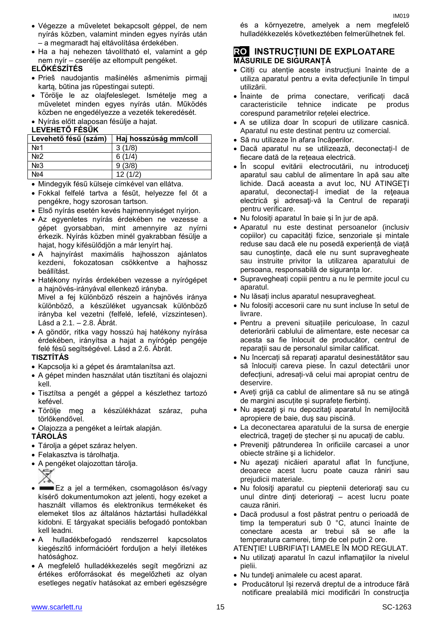Ha a haj nehezen távolítható el, valamint a gép nem nyír – cserélje az eltompult pengéket.

# **ELŐKÉSZÍTÉS**

- Prieš naudojantis mašinėlės ašmenimis pirmąjį kartą, būtina jas rūpestingai sutepti.
- Törölje le az olajfelesleget. Ismételje meg a műveletet minden egyes nyírás után. Működés közben ne engedélyezze a vezeték tekeredését.
- Nyírás előtt alaposan fésülje a hajat.

# **LEVEHETŐ FÉSŰK**

| Levehető fésű (szám) | Haj hosszúság mm/coll |
|----------------------|-----------------------|
| No1                  | 3(1/8)                |
| No <sub>2</sub>      | 6(1/4)                |
| N <sub>23</sub>      | 9(3/8)                |
| Nº4                  | 12(1/2)               |

Mindegyik fésű külseje címkével van ellátva.

- Fokkal felfelé tartva a fésűt, helyezze fel őt a pengékre, hogy szorosan tartson.
- Első nyírás esetén kevés hajmennyiséget nyírjon.
- Az egyenletes nyírás érdekében ne vezesse a gépet gyorsabban, mint amennyire az nyírni érkezik. Nyírás közben minél gyakrabban fésülje a hajat, hogy kifésülődjön a már lenyírt haj.
- A hajnyírást maximális hajhosszon ajánlatos kezdeni, fokozatosan csökkentve a hajhossz beállítást.
- Hatékony nyírás érdekében vezesse a nyírógépet a hajnövés-irányával ellenkező irányba.

Mivel a fej különböző részein a hajnövés iránya különböző, a készüléket ugyancsak különböző irányba kel vezetni (felfelé, lefelé, vízszintesen). Lásd a 2.1. – 2.8. Ábrát.

 A göndör, ritka vagy hosszú haj hatékony nyírása érdekében, irányítsa a hajat a nyírógép pengéje felé fésű segítségével. Lásd a 2.6. Ábrát.

# **TISZTÍTÁS**

- Kapcsolja ki a gépet és áramtalanítsa azt.
- A gépet minden használat után tisztítani és olajozni kell.
- Tisztítsa a pengét a géppel a készlethez tartozó kefével.
- Törölje meg a készülékházat száraz, puha törlőkendővel.
- Olajozza a pengéket a leírtak alapján.

# **TÁROLÁS**

- Tárolja a gépet száraz helyen.
- Felakasztva is tárolhatja.
- A pengéket olajozottan tárolja.
- Ez a jel a terméken, csomagoláson és/vagy kísérő dokumentumokon azt jelenti, hogy ezeket a használt villamos és elektronikus termékeket és elemeket tilos az általános háztartási hulladékkal kidobni. E tárgyakat speciális befogadó pontokban kell leadni.
- A hulladékbefogadó rendszerrel kapcsolatos kiegészítő információért forduljon a helyi illetékes hatósághoz.
- A megfelelő hulladékkezelés segít megőrizni az értékes erőforrásokat és megelőzheti az olyan esetleges negatív hatásokat az emberi egészségre

és a környezetre, amelyek a nem megfelelő hulladékkezelés következtében felmerülhetnek fel.

IM019

# **RO INSTRUCȚIUNI DE EXPLOATARE MĂSURILE DE SIGURANȚĂ**

- Citiți cu atenție aceste instrucțiuni înainte de a utiliza aparatul pentru a evita defecțiunile în timpul utilizării.
- Înainte de prima conectare, verificați dacă caracteristicile tehnice indicate pe produs corespund parametrilor rețelei electrice.
- A se utiliza doar în scopuri de utilizare casnică. Aparatul nu este destinat pentru uz comercial.
- Să nu utilizeze în afara încăperilor.
- Dacă aparatul nu se utilizează, deconectați-l de fiecare dată de la rețeaua electrică.
- În scopul evitării electrocutării, nu introduceţi aparatul sau cablul de alimentare în apă sau alte lichide. Dacă aceasta a avut loc, NU ATINGEŢI aparatul, deconectaţi-l imediat de la reţeaua electrică şi adresaţi-vă la Centrul de reparaţii pentru verificare.
- Nu folosiți aparatul în baie și în jur de apă.
- Aparatul nu este destinat persoanelor (inclusiv copiilor) cu capacități fizice, senzoriale și mintale reduse sau dacă ele nu posedă experiență de viață sau cunoștințe, dacă ele nu sunt supravegheate sau instruite privitor la utilizarea aparatului de persoana, responsabilă de siguranța lor.
- Supravegheați copiii pentru a nu le permite jocul cu aparatul.
- Nu lăsați inclus aparatul nesupravegheat.
- Nu folosiți accesorii care nu sunt incluse în setul de livrare.
- Pentru a preveni situațiile periculoase, în cazul deteriorării cablului de alimentare, este necesar ca acesta sa fie înlocuit de producător, centrul de reparații sau de personalul similar calificat.
- Nu încercați să reparați aparatul desinestătător sau să înlocuiți careva piese. În cazul detectării unor defecțiuni, adresați-vă celui mai apropiat centru de deservire.
- Aveți grijă ca cablul de alimentare să nu se atingă de margini ascuțite și suprafețe fierbinți.
- Nu așezați și nu depozitați aparatul în nemijlocită apropiere de baie, duş sau piscină.
- La deconectarea aparatului de la sursa de energie electrică, trageți de ștecher și nu apucați de cablu.
- Preveniţi pătrunderea în orificiile carcasei a unor obiecte străine şi a lichidelor.
- Nu aşezaţi nicăieri aparatul aflat în funcţiune, deoarece acest lucru poate cauza răniri sau prejudicii materiale.
- Nu folosiți aparatul cu pieptenii deteriorați sau cu unul dintre dinţi deterioraţi – acest lucru poate cauza răniri.
- Dacă produsul a fost păstrat pentru o perioadă de timp la temperaturi sub 0 °C, atunci înainte de conectare acesta ar trebui să se afle la temperatura camerei, timp de cel puțin 2 ore.

ATENŢIE! LUBRIFIAŢI LAMELE ÎN MOD REGULAT.

- Nu utilizați aparatul în cazul inflamațiilor la nivelul pielii.
- Nu tundeţi animalele cu acest aparat.
- Producătorul își rezervă dreptul de a introduce fără notificare prealabilă mici modificări în construcţia